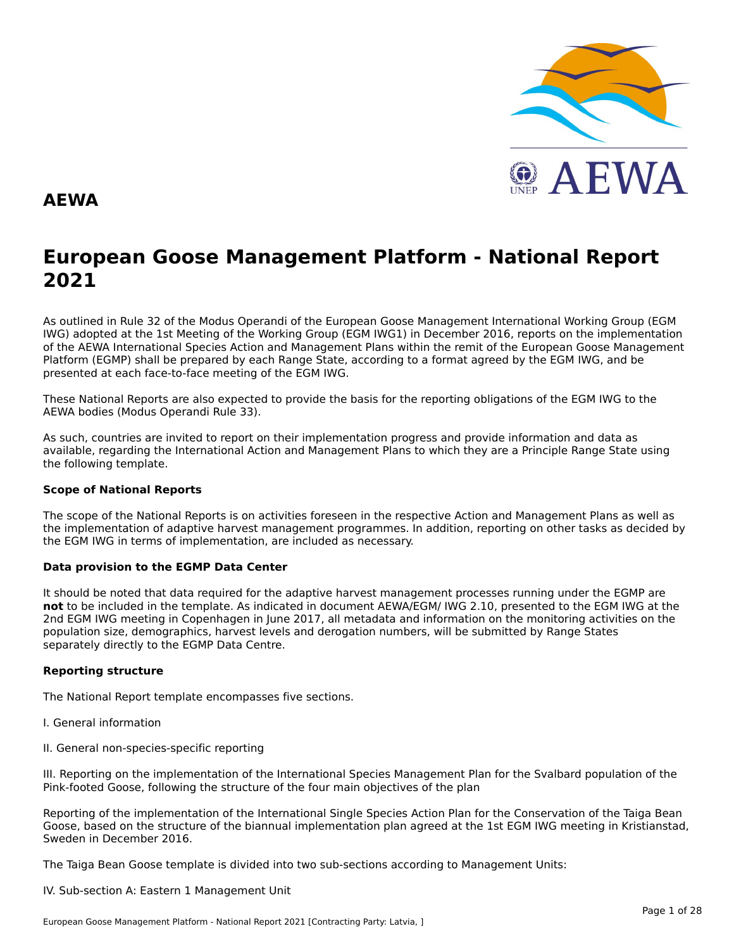

#### **AEWA**

# **European Goose Management Platform - National Report**European Goose Management Platform - National Report<br>2021

As outlined in Rule 32 of the Modus Operandi of the European Goose Management International Working Group (EGM As buthled in Rule 32 of the Modus Operandi of the Lufopean Goose Management International Working Group (LGM<br>IWG) adopted at the 1st Meeting of the Working Group (EGM IWG1) in December 2016, reports on the implementation of the AEWA International Species Action and Management Plans within the remit of the European Goose Management<br>of the AEWA International Species Action and Management Plans within the remit of the European Goose Managemen Platform (EGMP) shall be prepared by each Range State, according to a format agreed by the EGM IWG, and be presented at each face-to-face meeting of the EGM IWG.

These National Reports are also expected to provide the basis for the reporting obligations of the EGM IWG to the AEWA bodies (Modus Operandi Rule 33).

As such, countries are invited to report on their implementation progress and provide information and data asAs such, countries are invited to report on their implementation progress and provide imomiation and data as<br>available, regarding the International Action and Management Plans to which they are a Principle Range State usin the following template.

#### **Scope of National Reports**

The scope of the National Reports is on activities foreseen in the respective Action and Management Plans as well as<br>the invalence total of adoptive harvest management are respective and dition are atting on other today as the implementation of adaptive harvest management programmes. In addition, reporting on other tasks as decided by the EGM IWG in terms of implementation, are included as necessary.

#### **Data provision to the EGMP Data Center**

It should be noted that data required for the adaptive harvest management processes running under the EGMP are not to be included in the template. As indicated in document AEWA/EGM/ IWG 2.10, presented to the EGM IWG at the 2nd EGM IWG meeting in Copenhagen in June 2017, all metadata and information on the monitoring activities on the population size, demographics, harvest levels and derogation numbers, will be submitted by Range States separately directly to the EGMP Data Centre.

#### **Reporting structure**

The National Report template encompasses five sections.

- I. General information
- II. General non-species-specific reporting

III. Reporting on the implementation of the International Species Management Plan for the Svalbard population of the Pink-footed Goose, following the structure of the four main objectives of the plan

Reporting of the implementation of the International Single Species Action Plan for the Conservation of the Taiga Bean Goose, based on the structure of the biannual implementation plan agreed at the 1st EGM IWG meeting in Kristianstad, Sweden in December 2016.

The Taiga Bean Goose template is divided into two sub-sections according to Management Units:

IV. Sub-section A: Eastern 1 Management Unit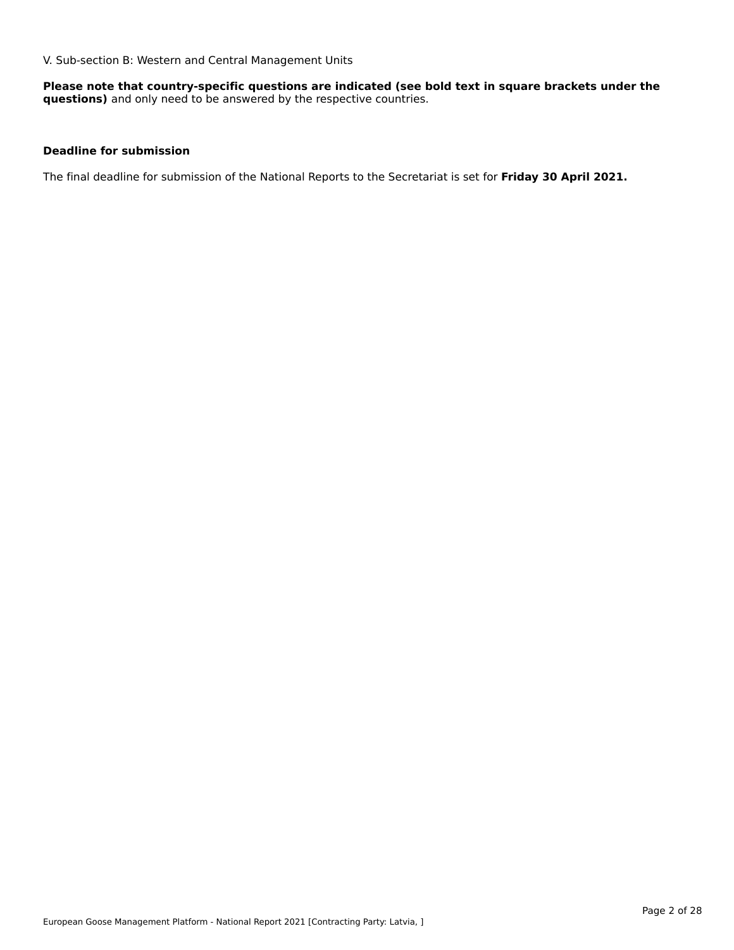V. Sub-section B: Western and Central Management Units

**Please note that country-specific questions are indicated (see bold text in square brackets under the questions)** and only need to be answered by the respective countries.

#### **Deadline for submission**

The final deadline for submission of the National Reports to the Secretariat is set for **Friday 30 April 2021.**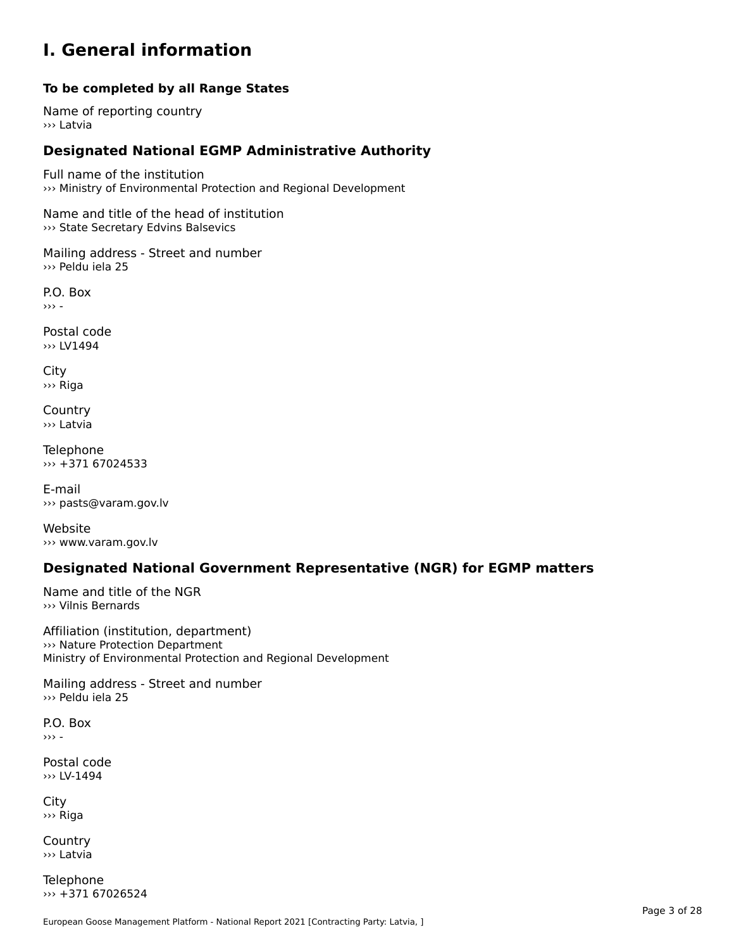#### **I. General information**

#### **To be completed by all Range States**

Name of reporting country››› Latvia

# **Designated National EGMP Administrative Authority**

Full name of the institution ››› Ministry of Environmental Protection and Regional Development

Name and title of the head of institution ››› State Secretary Edvins Balsevics

Mailing address - Street and number ››› Peldu iela 25

P.O. Box››› -

Postal code ››› LV1494

City ››› Riga

**Country** ››› Latvia

Telephone ››› +371 67024533

E-mail››› pasts@varam.gov.lv

Website››› www.varam.gov.lv

### **Designated National Government Representative (NGR) for EGMP matters**

Name and title of the NGR ››› Vilnis Bernards

Affiliation (institution, department) ››› Nature Protection Department 222 Nature Protection Department<br>Ministry of Environmental Protection and Regional Development

Mailing address - Street and number ››› Peldu iela 25

P.O. Box››› -

Postal code››› LV-1494

City ››› Riga

Country››› Latvia

**Telephone** ››› +371 67026524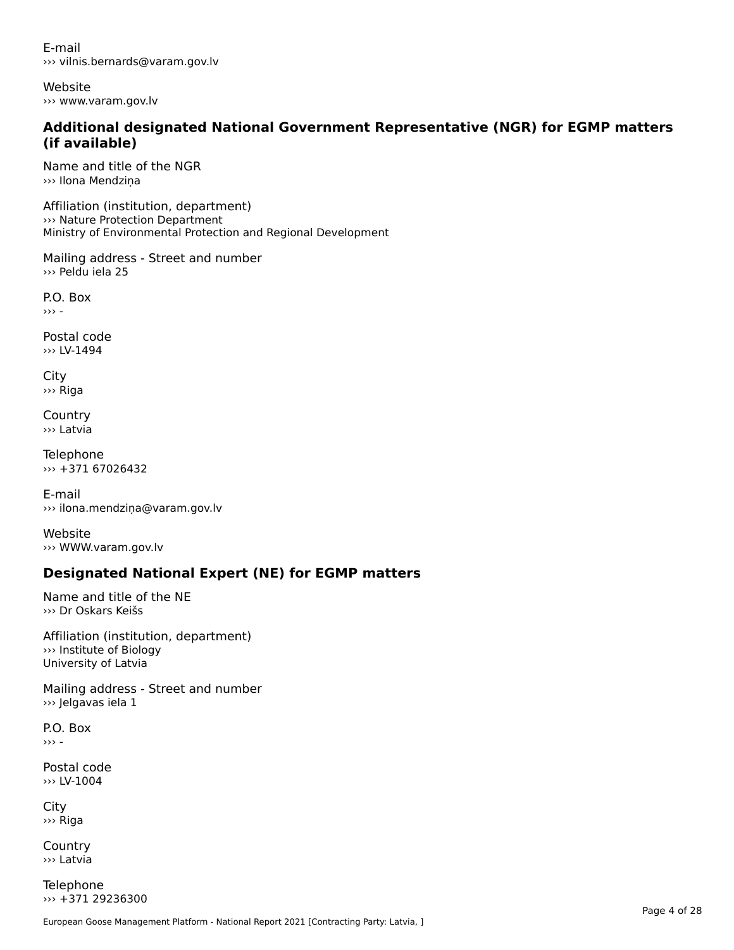E-mail››› vilnis.bernards@varam.gov.lv

Website››› www.varam.gov.lv

# **Additional designated National Government Representative (NGR) for EGMP matters (if available)**

Name and title of the NGR››› Ilona Mendziņa

Affiliation (institution, department) ››› Nature Protection Department Ministry of Environmental Protection and Regional Development

Mailing address - Street and number ››› Peldu iela 25

P.O. Box ››› -

Postal code››› LV-1494

City ››› Riga

**Country** ››› Latvia

Telephone ››› +371 67026432

E-mail››› ilona.mendziņa@varam.gov.lv

Website ››› WWW.varam.gov.lv

# **Designated National Expert (NE) for EGMP matters**

Name and title of the NE ››› Dr Oskars Keišs

Affiliation (institution, department)››› Institute of Biology University of Latvia

Mailing address - Street and number ››› Jelgavas iela 1

P.O. Box››› -

Postal code ››› LV-1004

City ››› Riga

**Country** ››› Latvia

Telephone ››› +371 29236300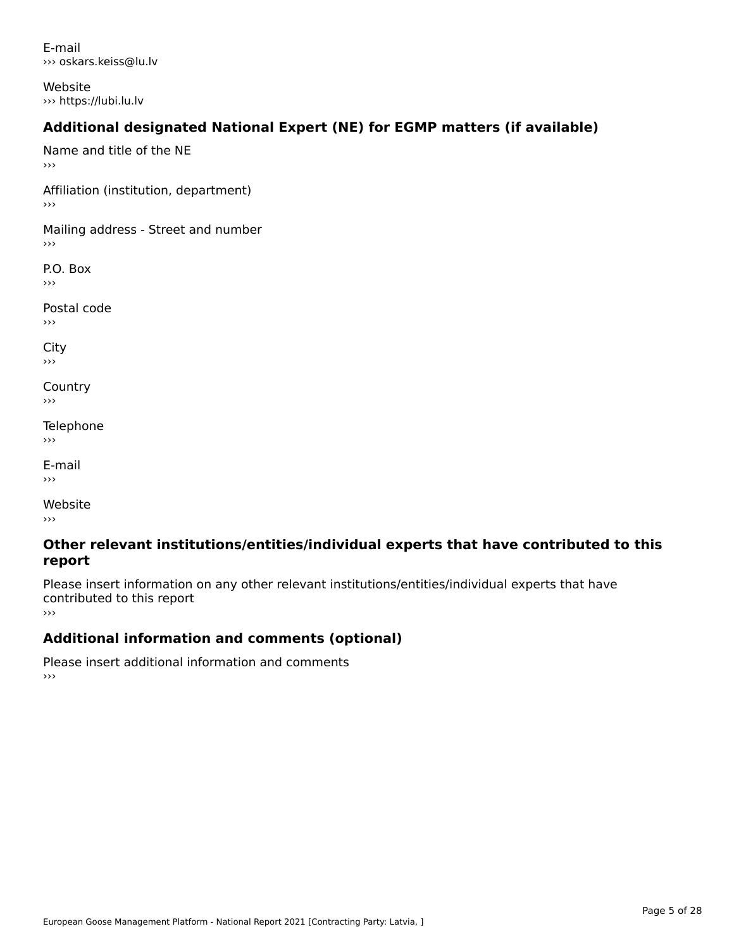E-mail››› oskars.keiss@lu.lv

Website››› https://lubi.lu.lv

# **Additional designated National Expert (NE) for EGMP matters (if available)**

Name and title of the NE ›››Affiliation (institution, department) Mailing address - Street and number  $\rightarrow$   $>$ P.O. Box ›››Postal code›››City ااب<br><< **Country**  $\rightarrow$   $>$ Telephone ›››E-mail›››Website

›››

#### **Other relevant institutions/entities/individual experts that have contributed to this report**report

Please insert information on any other relevant institutions/entities/individual experts that have contributed to this report ›››

#### **Additional information and comments (optional)**

Please insert additional information and comments ›››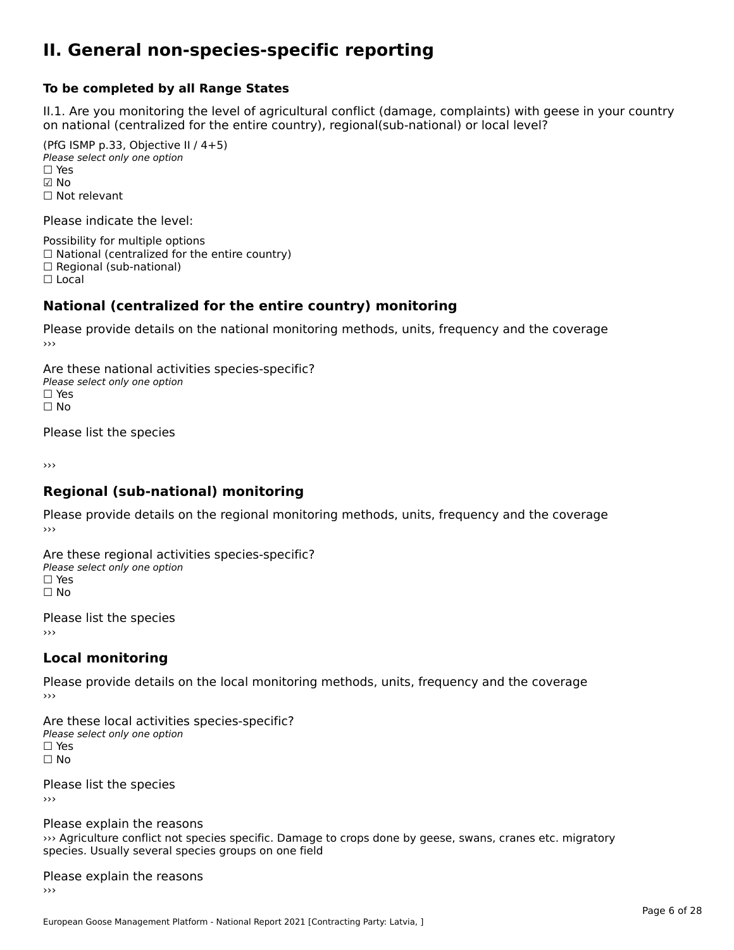#### **II. General non-species-specific reporting**

#### **To be completed by all Range States**

II.1. Are you monitoring the level of agricultural conflict (damage, complaints) with geese in your country n.i. Are you monitoring the lever or agricultural connict (damage, complaints) with g<br>on national (centralized for the entire country), regional(sub-national) or local level?

(PfG ISMP p.33, Objective II  $(4+5)$ ) ∪ ISMIT p.55, Objective<br>Please select only one option ☑ No☐ Not relevant

Please indicate the level:

Possibility for multiple options  $\Box$  National (centralized for the entire country)  $\Box$  Regional (sub-national)

☐ Local

#### **National (centralized for the entire country) monitoring**

Please provide details on the national monitoring methods, units, frequency and the coverage

Are these national activities species-specific? Please select only one optionPlease select only one option<br>□ Yes ים וכ<br>⊡ No

Please list the species

›››

#### **Regional (sub-national) monitoring**

Please provide details on the regional monitoring methods, units, frequency and the coverage

Are these regional activities species-specific? ∩ne these regional activ<br>Please select only one option □ Yes<br>□ No

Please list the species ›››

#### **Local monitoring**

Please provide details on the local monitoring methods, units, frequency and the coverage

Are these local activities species-specific? Please select only one optionriease<br>□ Yes □ Yes<br>□ No

Please list the species ›››

Please explain the reasons riedse explain the redsoris<br>>>> Agriculture conflict not species specific. Damage to crops done by geese, swans, cranes etc. migratory species. Usually several species groups on one field

#### Please explain the reasons ›››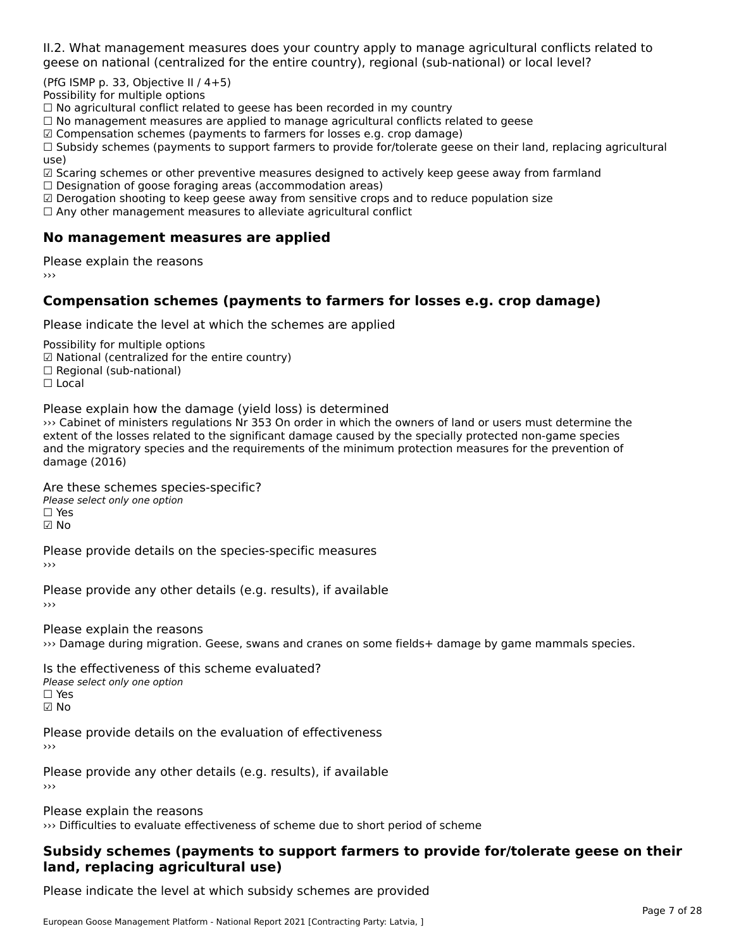II.2. What management measures does your country apply to manage agricultural conflicts related to

(PfG ISMP p. 33, Objective II  $/$  4+5)

Possibility for multiple options

™assionicy for maltiple options<br>□ No agricultural conflict related to geese has been recorded in my country  $\Box$  No agricultural conflict related to geese has been recorded in high conflict  $r$ 

 $\Box$  No management measures are applied to manage agricultural commets relations to  $\Box$ 

 $\mathbb Z$  Compensation schemes (payments to farmers for losses e.g. crop damage)

ഇ compensation schemes (payments to farmers for losses e.g. crop damage)<br>□ Subsidy schemes (payments to support farmers to provide for/tolerate geese on their land, replacing agricultural use)

use)<br>☑ Scaring schemes or other preventive measures designed to actively keep geese away from farmland

 $\Box$  Designation of goose foraging areas (accommodation areas)

□ Designation or goose foraging areas (accommodation areas)<br>□ Derogation shooting to keep geese away from sensitive crops and to reduce population size

 $\Box$  Any other management measures to alleviate agricultural conflict

### **No management measures are applied**

Please explain the reasons ›››

# **Compensation schemes (payments to farmers for losses e.g. crop damage)**

Please indicate the level at which the schemes are applied

Possibility for multiple options rossibility for multiple options<br>☑ National (centralized for the entire country) ⊠ National (centranzed io<br>□ Regional (sub-national) ☐ Local

Please explain how the damage (yield loss) is determined

is cabinet of ministers regulations Nr 353 On order in which the owners of land or users must determine the special to the losses relations of the special method of the special method of the special method of the special m exist the migratory species and the significant damage charged by the specially protected non-game species of and the migration y species and the requirements of the minimum protection measures for the prevention or damage (2016)

Are these schemes species-specific?

Please select only one option☐ Yes☑ No

Please provide details on the species-specific measures ›››

Please provide any other details (e.g. results), if available

Please explain the reasons ››› Damage during migration. Geese, swans and cranes on some fields+ damage by game mammals species.

Is the effectiveness of this scheme evaluated?Please select only one option ☐ Yes☑ No

Please provide details on the evaluation of effectiveness

Please provide any other details (e.g. results), if available

Please explain the reasons

››› Difficulties to evaluate effectiveness of scheme due to short period of scheme

#### **Subsidy schemes (payments to support farmers to provide for/tolerate geese on their land, replacing agricultural use)**land, replacing agricultural use)

Please indicate the level at which subsidy schemes are provided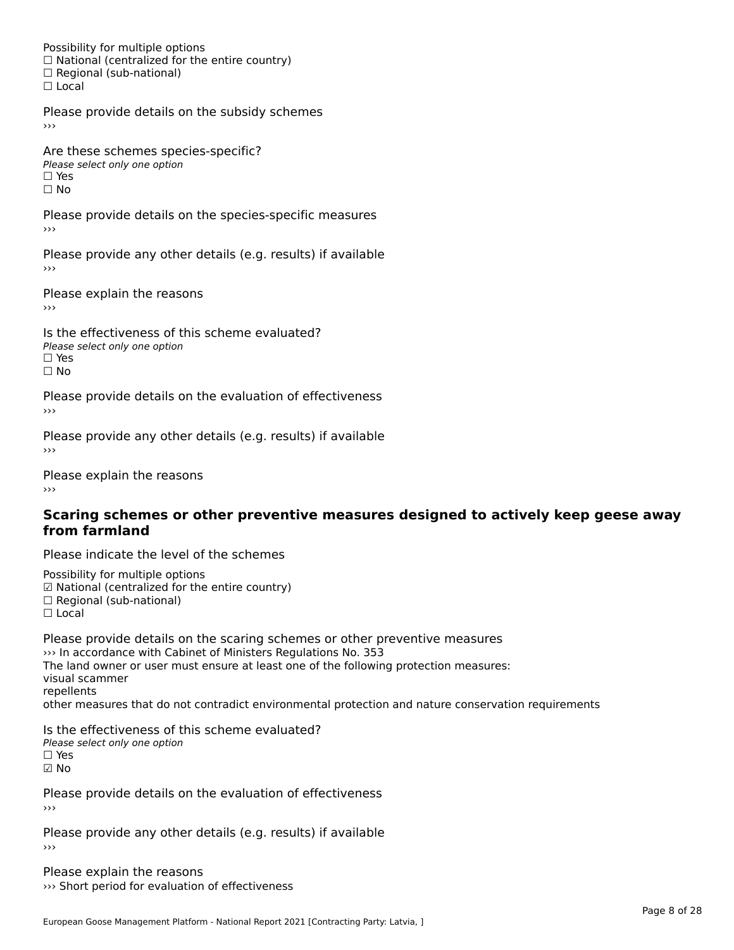Possibility for multiple options rossibility for multiple options<br>□ National (centralized for the entire country) □ National (centralized io<br>□ Regional (sub-national) ☐ Local

Please provide details on the subsidy schemes

Are these schemes species-specific?∩ne these senemes spe<br>Please select only one option □ Yes<br>□ No

Please provide details on the species-specific measures

Please provide any other details (e.g. results) if available ›››

Please explain the reasons›››

Is the effectiveness of this scheme evaluated?□ CITC CITCCLIVENC55 OF C<br>Please select only one option  $\square$  Yes ☐ No

Please provide details on the evaluation of effectiveness

Please provide any other details (e.g. results) if available

Please explain the reasons

#### **Scaring schemes or other preventive measures designed to actively keep geese away from farmland**

Please indicate the level of the schemes

Possibility for multiple options rossibility for multiple options<br>☑ National (centralized for the entire country) ⊠ National (centralized io<br>□ Regional (sub-national) ☐ Local

Please provide details on the scaring schemes or other preventive measures I rease provide details on the scaring schemes or other pi<br>>>> In accordance with Cabinet of Ministers Regulations No. 353 with accordance with cabinet or ministers regulations No. 333<br>The land owner or user must ensure at least one of the following protection measures: visual scammer repellentsrepenents<br>other measures that do not contradict environmental protection and nature conservation requirements

Is the effectiveness of this scheme evaluated? Please select only one option ☐ Yes☑ No

Please provide details on the evaluation of effectiveness

Please provide any other details (e.g. results) if available

Please explain the reasons ››› Short period for evaluation of effectiveness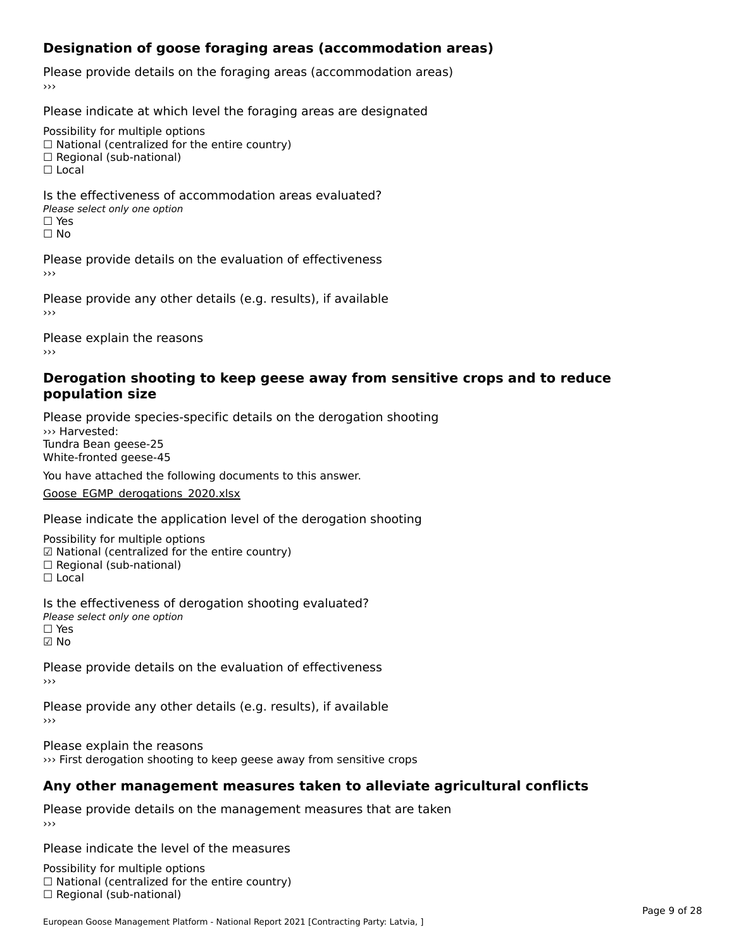### **Designation of goose foraging areas (accommodation areas)**

Please provide details on the foraging areas (accommodation areas)

Please indicate at which level the foraging areas are designated

Possibility for multiple options

rossibility for multiple options<br>□ National (centralized for the entire country)

□ National (centralized io<br>□ Regional (sub-national)

☐ Local

Is the effectiveness of accommodation areas evaluated?□ CITC CITCCLIVERESS OF Q<br>Please select only one option □ Yes<br>□ No

Please provide details on the evaluation of effectiveness

Please provide any other details (e.g. results), if available

Please explain the reasons›››

#### **Derogation shooting to keep geese away from sensitive crops and to reduce population size**

Please provide species-specific details on the derogation shooting ››› Harvested:Tundra Bean geese-25White-fronted geese-45

You have attached the following documents to this answer.

[Goose\\_EGMP\\_derogations\\_2020.xlsx](http://aewa-ort.ort-production.linode.unep-wcmc.org/answers/3151659/documents/2240)

Please indicate the application level of the derogation shooting

Possibility for multiple options ™assibility for multiple options<br>☑ National (centralized for the entire country) ⊠ National (centranzed io<br>□ Regional (sub-national) ☐ Local

Is the effectiveness of derogation shooting evaluated? □ CITC CITCCLIVENC55 OF 0<br>Please select only one option ☑ No

Please provide details on the evaluation of effectiveness

Please provide any other details (e.g. results), if available

Please explain the reasons ››› First derogation shooting to keep geese away from sensitive crops

# **Any other management measures taken to alleviate agricultural conflicts**

Please provide details on the management measures that are taken

Please indicate the level of the measures

Possibility for multiple options  $\Box$  National (centralized for the entire country)<br> $\Box$  National (centralized for the entire country)  $\Box$  Regional (sub-national)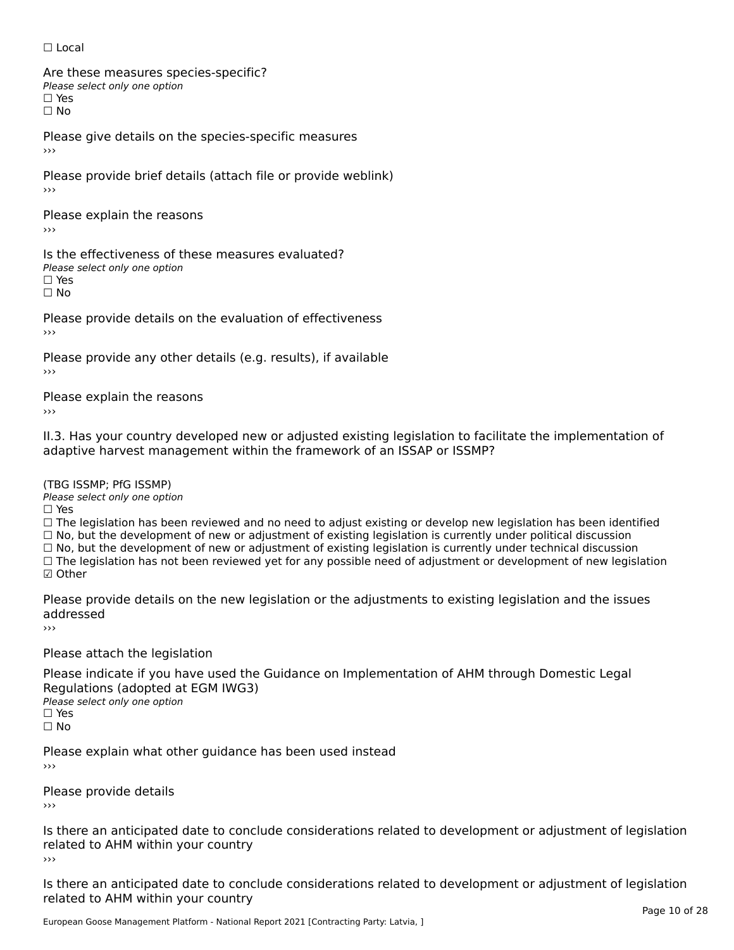☐ Local

Are these measures species-specific?∩ne these measures spe<br>Please select only one option  $\square$  Yes

☐ No

Please give details on the species-specific measures

Please provide brief details (attach file or provide weblink) ›››

Please explain the reasons›››

Is the effectiveness of these measures evaluated?Please select only one option ☐ Yes

☐ No

Please provide details on the evaluation of effectiveness

Please provide any other details (e.g. results), if available

Please explain the reasons

II.3. Has your country developed new or adjusted existing legislation to facilitate the implementation of

(TBG ISSMP; PfG ISSMP)

Please select only one option ☐ Yes

 $\Box$  Yes

☐ The legislation has been reviewed and no need to adjust existing or develop new legislation has been identified  $\Box$  The regislation has been reviewed and no need to adjust existing or develop hew regislation has been identical<br> $\Box$  No, but the development of new or adjustment of existing legislation is currently under political di

☐ No, but the development of new or adjustment of existing legislation is currently under technical discussion ☐ The legislation has not been reviewed yet for any possible need of adjustment or development of new legislation

☑ Other

Please provide details on the new legislation or the adjustments to existing legislation and the issues addressed

Please attach the legislation

Please indicate if you have used the Guidance on Implementation of AHM through Domestic Legal Regulations (adopted at EGM IWG3) **Regardents (dubpled a)**<br>Please select only one option ☐ Yes

☐ No

Please explain what other guidance has been used instead

Please provide details ›››

Is there an anticipated date to conclude considerations related to development or adjustment of legislation Fracture to Army within your country

Is there an anticipated date to conclude considerations related to development or adjustment of legislation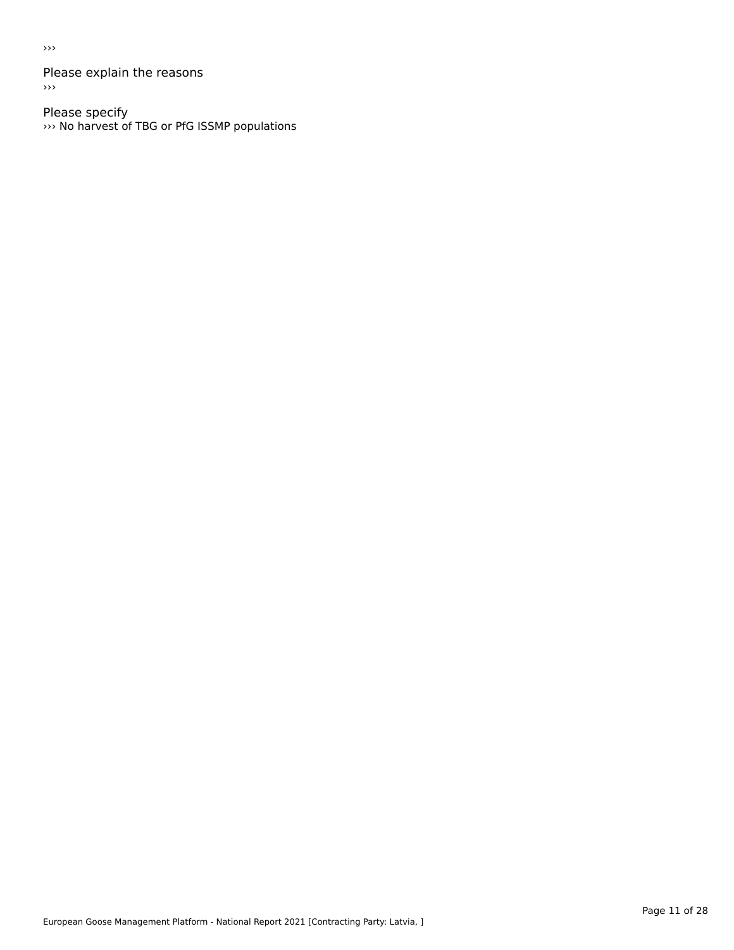›››

Please explain the reasons  $\rightarrow$ 

Please specify ››› No harvest of TBG or PfG ISSMP populations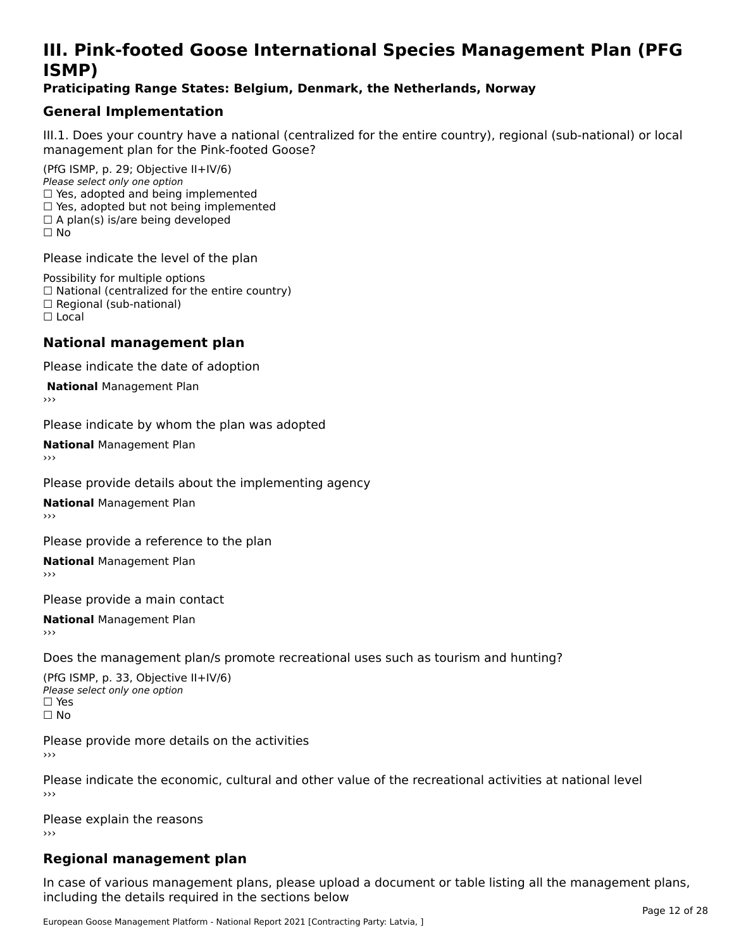# **III. Pink-footed Goose International Species Management Plan (PFG**III. FII<br>ICMAD)

#### **Praticipating Range States: Belgium, Denmark, the Netherlands, Norway**

### **General Implementation**

III.1. Does your country have a national (centralized for the entire country), regional (sub-national) or local

(PfG ISMP, p. 29; Objective II+IV/6) Please select only one option *riease select only one option*<br>□ Yes, adopted and being implemented  $\Box$  ies, adopted and being implemented<br> $\Box$  Yes, adopted but not being implemented  $\Box$  A plan(s) is/are being developed ☐ No

Please indicate the level of the plan

Possibility for multiple options rossibility for multiple options<br>□ National (centralized for the entire country) □ National (centralized io<br>□ Regional (sub-national) ☐ Local

#### **National management plan**

Please indicate the date of adoption

**National Management Plan** 

Please indicate by whom the plan was adopted

**National** Management Plan

Please provide details about the implementing agency

**National** Management Plan

Please provide a reference to the plan

**National** Management Plan

Please provide a main contact

**National** Management Plan

Does the management plan/s promote recreational uses such as tourism and hunting?

(PfG ISMP, p. 33, Objective II+IV/6) Please select only one optionPlease select only one option  $\square$  Yes ☐ No

Please provide more details on the activities

Please indicate the economic, cultural and other value of the recreational activities at national level

Please explain the reasons ›››

# **Regional management plan**

In case of various management plans, please upload a document or table listing all the management plans, $\frac{1}{2}$  case of various management plans, please uploa including the details required in the sections below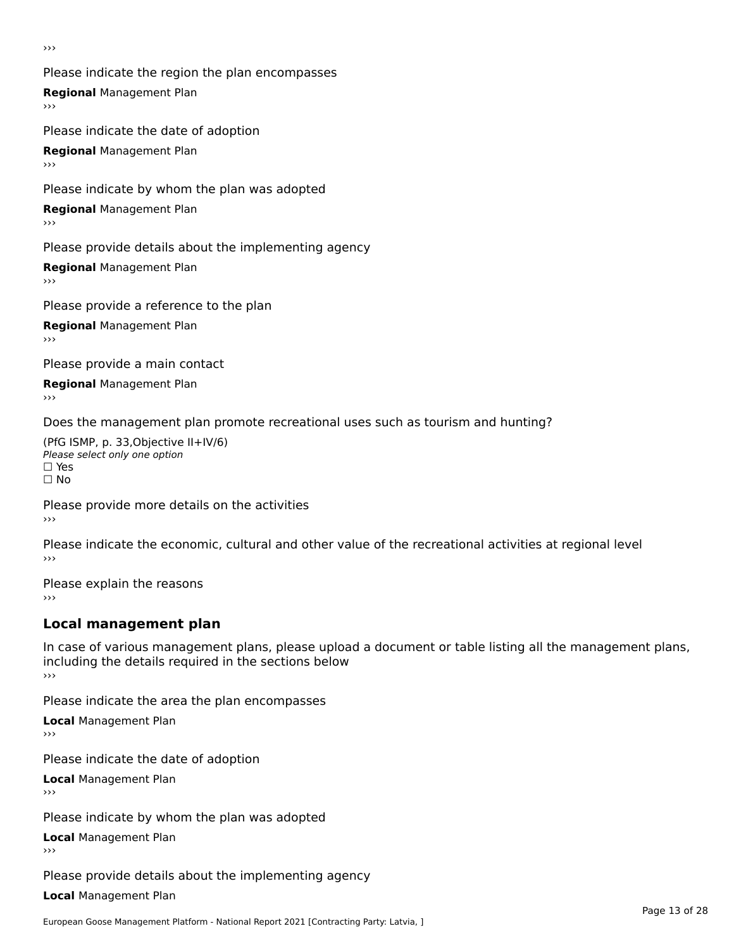›››

Please indicate the region the plan encompasses **Regional** Management Plan Please indicate the date of adoption

**Regional** Management Plan

Please indicate by whom the plan was adopted

**Regional** Management Plan

Please provide details about the implementing agency

**Regional** Management Plan

Please provide a reference to the plan

**Regional** Management Plan

Please provide a main contact

**Regional** Management Plan

Does the management plan promote recreational uses such as tourism and hunting?

(PfG ISMP, p. 33,Objective II+IV/6) ∩∩ וויוכו פון<br>Please select only one option<br>□ Yes □ Yes<br>□ No

Please provide more details on the activities ›››

Please indicate the economic, cultural and other value of the recreational activities at regional level

Please explain the reasons ›››

# **Local management plan**

In case of various management plans, please upload a document or table listing all the management plans, in case or various management plans, please uploa<br>including the details required in the sections below ›››

Please indicate the area the plan encompasses

**Local** Management Plan

Please indicate the date of adoption

**Local** Management Plan›››

Please indicate by whom the plan was adopted

**Local** Management Plan

Please provide details about the implementing agency

**Local** Management Plan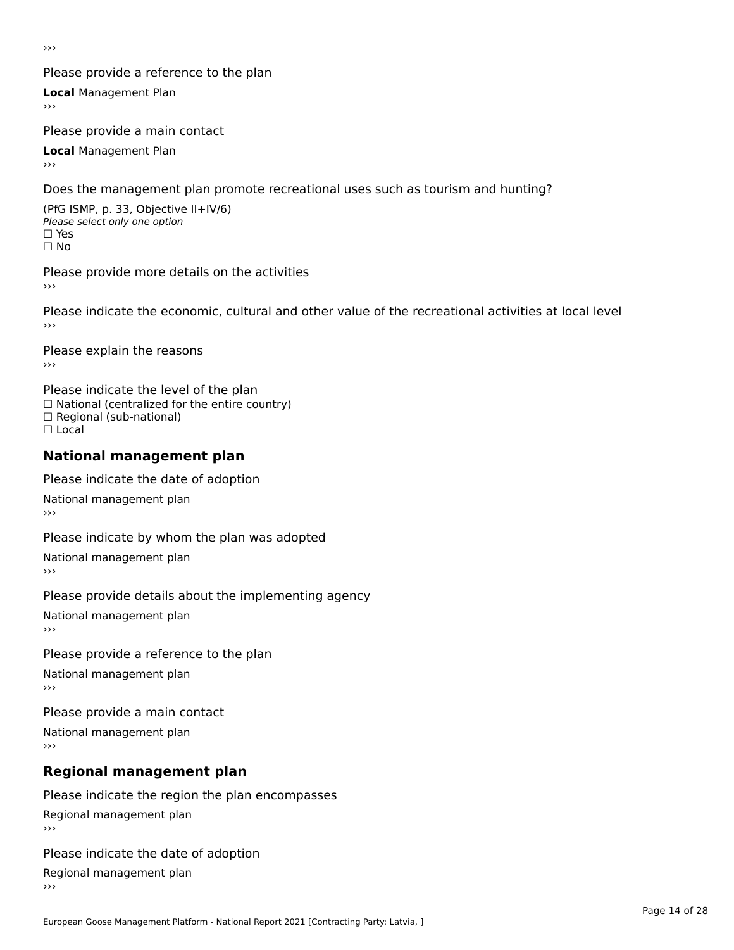›››

#### Please provide a reference to the plan

**Local** Management Plan

Please provide a main contact

**Local** Management Plan

Does the management plan promote recreational uses such as tourism and hunting?

(PfG ISMP, p. 33, Objective II+IV/6) Please select only one option☐ Yes☐ No

Please provide more details on the activities

Please indicate the economic, cultural and other value of the recreational activities at local level

Please explain the reasons ›››

Please indicate the level of the plan ∩ease marcate the lever of the plan<br>□ National (centralized for the entire country) □ National (centralized io<br>□ Regional (sub-national) ☐ Local

#### **National management plan**

Please indicate the date of adoption

National management plan

Please indicate by whom the plan was adopted

National management plan

Please provide details about the implementing agency

National management plan

Please provide a reference to the plan

National management plan

Please provide a main contact

National management plan

# **Regional management plan**

Please indicate the region the plan encompasses Regional management plan

Please indicate the date of adoption

Regional management plan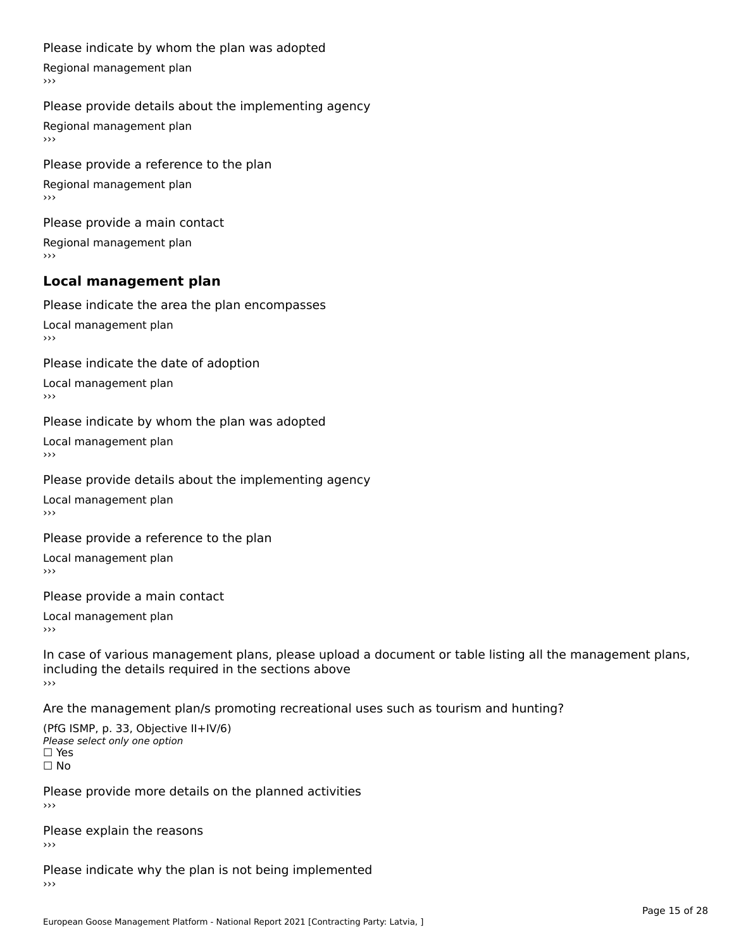#### Please indicate by whom the plan was adopted

Regional management plan

#### Please provide details about the implementing agency

Regional management plan

Please provide a reference to the plan Regional management plan

Please provide a main contact Regional management plan

# **Local management plan**

Please indicate the area the plan encompasses

Local management plan $\overline{\phantom{a}}$  $\rightarrow$   $>$ 

Please indicate the date of adoption

Local management plan $\overline{v}$ 

Please indicate by whom the plan was adopted Local management plan›››

Please provide details about the implementing agency

Local management plan $\overline{v}$ 

Please provide a reference to the plan

Local management plan›››

Please provide a main contact

Local management plan $\overline{v}$ 

In case of various management plans, please upload a document or table listing all the management plans,in case or various management plans, please upload including the details required in the sections above<br>>>>

Are the management plan/s promoting recreational uses such as tourism and hunting?

(PfG ISMP, p. 33, Objective II+IV/6) Please select only one option☐ Yes☐ No

Please provide more details on the planned activities

Please explain the reasons›››

Please indicate why the plan is not being implemented›››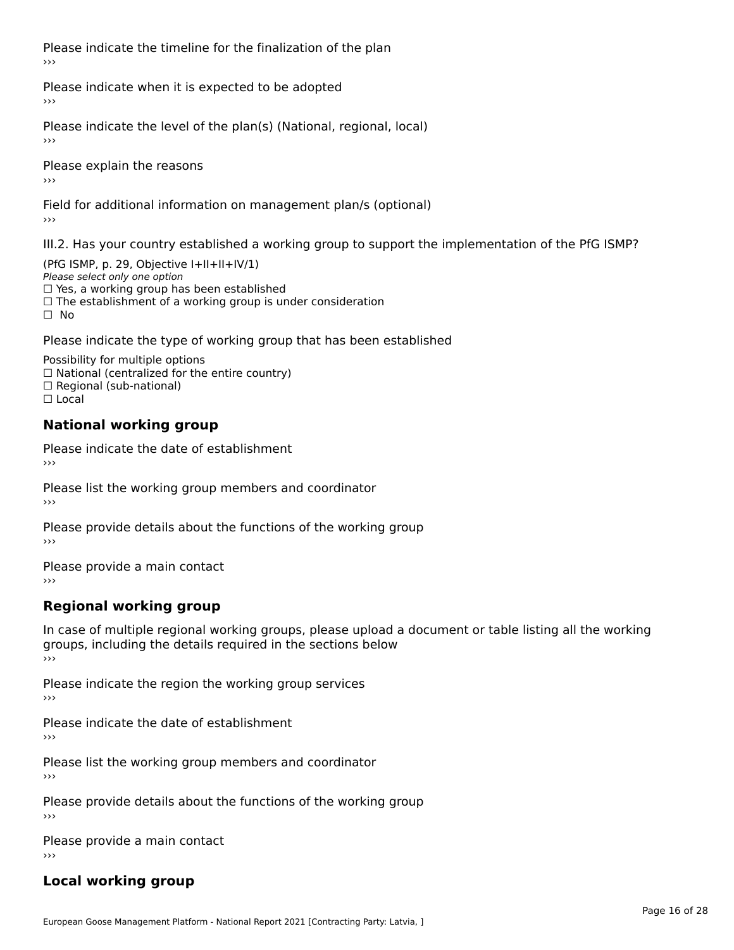Please indicate the timeline for the finalization of the plan›››

Please indicate when it is expected to be adopted

Please indicate the level of the plan(s) (National, regional, local)

Please explain the reasons›››

Field for additional information on management plan/s (optional)

III.2. Has your country established a working group to support the implementation of the PfG ISMP?

(PfG ISMP, p. 29, Objective  $I+II+II+IV/1$ ) Please select only one option □ Yes, a working group has been established □ Tes, a working group has been established<br>□ The establishment of a working group is under consideration

Please indicate the type of working group that has been established

Possibility for multiple options  $\Box$  National (centralized for the entire country)  $\Box$  Regional (sub-national)  $\Box$  Local

#### **National working group**

Please indicate the date of establishment›››

Please list the working group members and coordinator ›››

Please provide details about the functions of the working group ›››

Please provide a main contact ›››

# **Regional working group**

In case of multiple regional working groups, please upload a document or table listing all the working In case of multiple regional working groups, please upload a<br>groups, including the details required in the sections below ›››

Please indicate the region the working group services ›››

Please indicate the date of establishment ›››

Please list the working group members and coordinator ›››

Please provide details about the functions of the working group ›››

Please provide a main contact ›››

# **Local working group**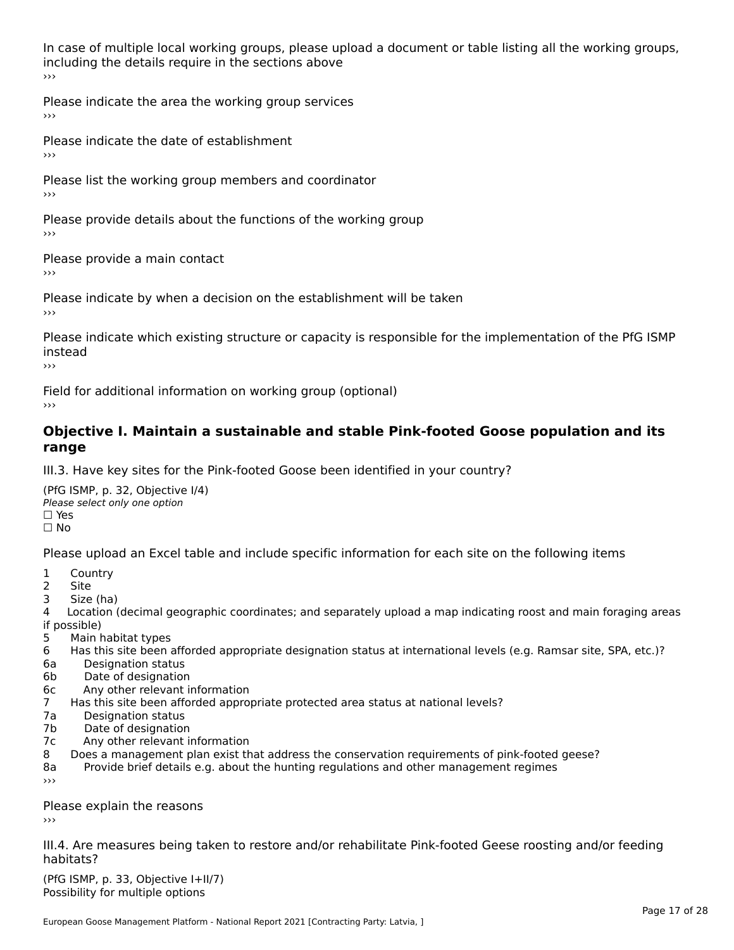In case of multiple local working groups, please upload a document or table listing all the working groups, including the details require in the sections above<br>>>>

Please indicate the area the working group services ›››

Please indicate the date of establishment ›››

Please list the working group members and coordinator ›››

Please provide details about the functions of the working group ›››

Please provide a main contact ›››

Please indicate by when a decision on the establishment will be taken

Please indicate which existing structure or capacity is responsible for the implementation of the PfG ISMP instead

Field for additional information on working group (optional)

#### **Objective I. Maintain a sustainable and stable Pink-footed Goose population and its range**range

III.3. Have key sites for the Pink-footed Goose been identified in your country?

(PfG ISMP, p. 32, Objective I/4)Please select only one option ☐ Yes□ Yes<br>□ No

Please upload an Excel table and include specific information for each site on the following items

- $1 \quad \alpha$
- 2 Site
- 2 Site<br>3 Size (ha)

د حدد una<br>4 Location (decimal geographic coordinates; and separately upload a map indicating roost and main foraging areas 4 Location<br>if possible)

- 5 Main habitat types
- 6 Has this site been afforded appropriate designation status at international levels (e.g. Ramsar site, SPA, etc.)? 6. Bestweetter status
- 6a Designation status<br>6b Date of designation
- 
- 6c Any other relevant information
- 7 Has this site been afforded appropriate protected area status at national levels? 7a Designation status
- 7a Designation status<br>7b Date of designation
- 
- 7c Any other relevant information
- 8 Does a management plan exist that address the conservation requirements of pink-footed geese?
- 8a Provide brief details e.g. about the hunting regulations and other management regimes ›››

Please explain the reasons

III.4. Are measures being taken to restore and/or rehabilitate Pink-footed Geese roosting and/or feeding habitats?

 $(PCI GMP, p. 33, Qb)$  is the I+II/7) Possibility for multiple optionsPossibility for multiple options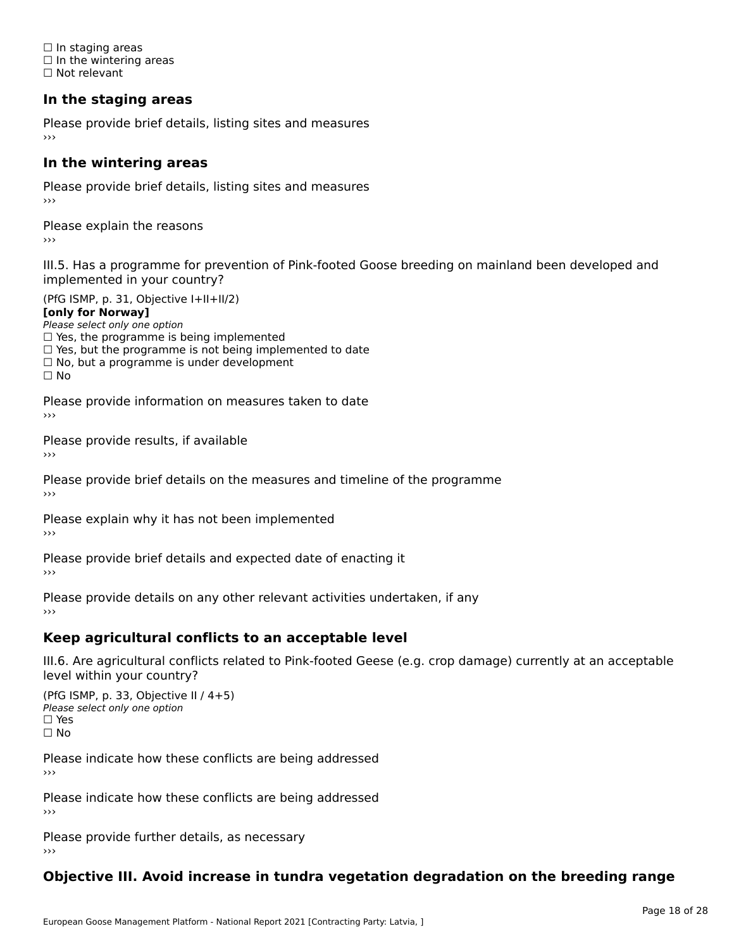☐ In staging areas □ in staging areas<br>□ In the wintering areas ☐ Not relevant

# **In the staging areas**

Please provide brief details, listing sites and measures ›››

#### **In the wintering areas**

Please provide brief details, listing sites and measures ›››

Please explain the reasons

III.5. Has a programme for prevention of Pink-footed Goose breeding on mainland been developed and

(PfG ISMP, p. 31, Objective I+II+II/2)

**[only for Norway]**

Please select only one option riease select only one option<br>□ Yes, the programme is being implemented

 $\Box$  ies, the programme is being implemented to date  $\Box$  Yes, but the programme is not being implemented to date

 $\Box$  No, but a programme is under development

Please provide information on measures taken to date

Please provide results, if available

Please provide brief details on the measures and timeline of the programme›››

Please explain why it has not been implemented

Please provide brief details and expected date of enacting it

Please provide details on any other relevant activities undertaken, if any›››

### **Keep agricultural conflicts to an acceptable level**

III.6. Are agricultural conflicts related to Pink-footed Geese (e.g. crop damage) currently at an acceptable

(PfG ISMP, p. 33, Objective II / 4+5)Please select only one option ☐ Yes☐ No

Please indicate how these conflicts are being addressed

Please indicate how these conflicts are being addressed›››

Please provide further details, as necessary ›››

#### **Objective III. Avoid increase in tundra vegetation degradation on the breeding range**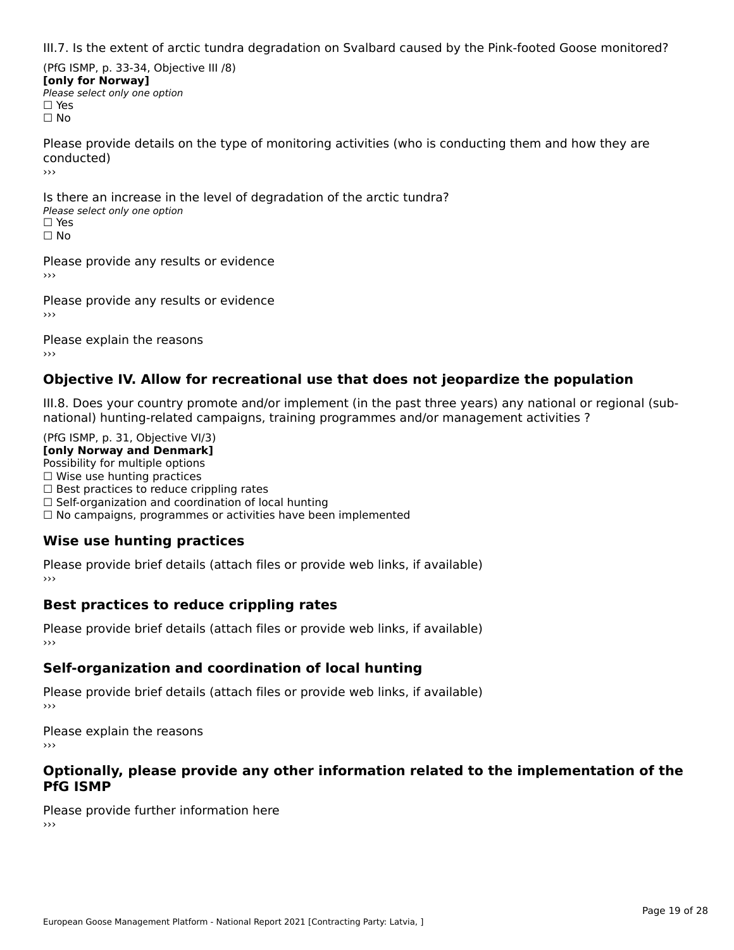III.7. Is the extent of arctic tundra degradation on Svalbard caused by the Pink-footed Goose monitored?

(PfG ISMP, p. 33-34, Objective III /8) **[only for Norway] Please select only one option** □ Yes<br>□ No

Please provide details on the type of monitoring activities (who is conducting them and how they are conducted)›››

Is there an increase in the level of degradation of the arctic tundra? □ CitCre dir increduce in c<br>Please select only one option □ Yes<br>□ No

Please provide any results or evidence

Please provide any results or evidence

Please explain the reasons›››

### **Objective IV. Allow for recreational use that does not jeopardize the population**

III.8. Does your country promote and/or implement (in the past three years) any national or regional (sub $m.6.198$  your country promove and/or miplement (in the past time years) any national or national) hunting-related campaigns, training programmes and/or management activities ?

(PfG ISMP, p. 31, Objective VI/3) **[only Norway and Denmark]** Possibility for multiple options ☐ Wise use hunting practices  $\Box$  wise use numing practices<br> $\Box$  Best practices to reduce crippling rates □ Best practices to reduce crippinig rates<br>□ Self-organization and coordination of local hunting □ Sen-organization and coordination or local nunting<br>□ No campaigns, programmes or activities have been implemented

# **Wise use hunting practices**

Please provide brief details (attach files or provide web links, if available) ›››

### **Best practices to reduce crippling rates**

Please provide brief details (attach files or provide web links, if available)

### **Self-organization and coordination of local hunting**

Please provide brief details (attach files or provide web links, if available)

Please explain the reasons›››

#### **Optionally, please provide any other information related to the implementation of the PfG ISMP**

Please provide further information here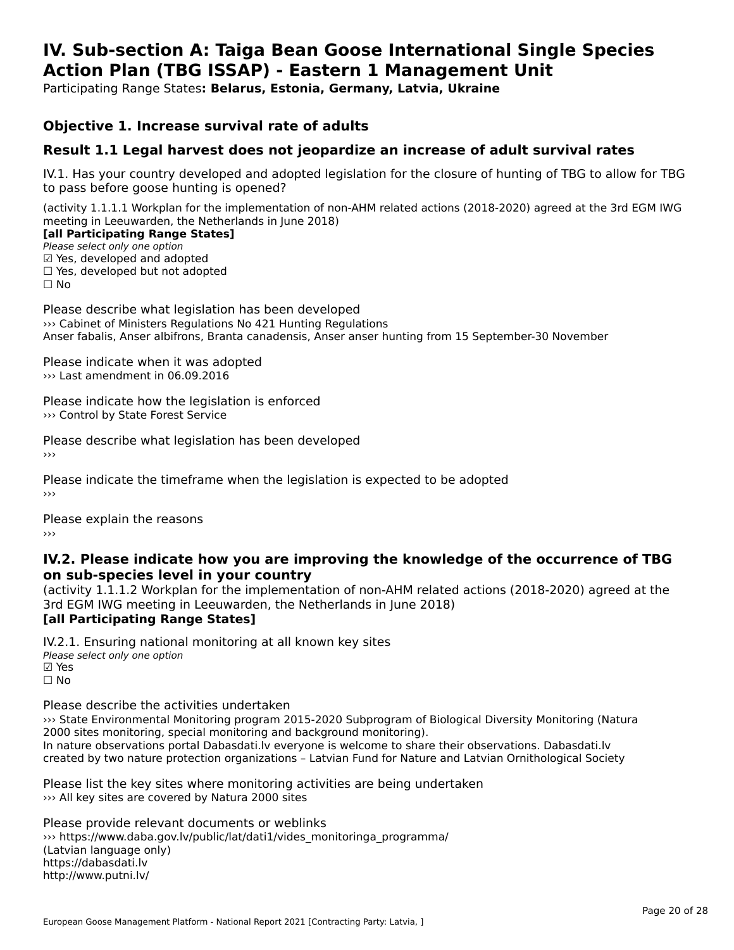#### **IV. Sub-section A: Taiga Bean Goose International Single Species Action Plan (TBG ISSAP) - Eastern 1 Management UnitAction Plan (TBG ISSAP) - Eastern 1 Management Unit**

Participating Range States**: Belarus, Estonia, Germany, Latvia, Ukraine** 

### **Objective 1. Increase survival rate of adults**

### **Result 1.1 Legal harvest does not jeopardize an increase of adult survival rates**

IV.1. Has your country developed and adopted legislation for the closure of hunting of TBG to allow for TBG IV.1. Thas your country developed and add<br>to pass before goose hunting is opened?

(activity 1.1.1.1 Workplan for the implementation of non-AHM related actions (2018-2020) agreed at the 3rd EGM IWG meeting in Leeuwarden, the Netherlands in June 2018) **[all Participating Range States]**

#### [all Participating Range States]

Please select only one option ☑ Yes, developed and adopted $\boxtimes$  Yes, developed and adopted □ Tes, developed and adopted<br>□ Yes, developed but not adopted

Please describe what legislation has been developed ››› Cabinet of Ministers Regulations No 421 Hunting Regulations Anser fabalis, Anser albifrons, Branta canadensis, Anser anser hunting from 15 September-30 November

Please indicate when it was adopted ››› Last amendment in 06.09.2016

Please indicate how the legislation is enforced ››› Control by State Forest Service

Please describe what legislation has been developed

Please indicate the timeframe when the legislation is expected to be adopted

Please explain the reasons

#### **IV.2. Please indicate how you are improving the knowledge of the occurrence of TBG on sub-species level in your country**on sub-species level in your country

on sub-species fever in your country<br>(activity 1.1.1.2 Workplan for the implementation of non-AHM related actions (2018-2020) agreed at the **[all Participating Range States]**

IV.2.1. Ensuring national monitoring at all known key sites Please select only one option ☑ Yes☐ No

Please describe the activities undertaken

››› State Environmental Monitoring program 2015-2020 Subprogram of Biological Diversity Monitoring (Natura www.state.chvironmental monitoring program 2015-2020 Subprogram or<br>2000 sites monitoring, special monitoring and background monitoring). zood sites monitoning, special monitoning and background monitoning).<br>In nature observations portal Dabasdati.lv everyone is welcome to share their observations. Dabasdati.lv created by two nature protection organizations – Latvian Fund for Nature and Latvian Ornithological Society

Please list the key sites where monitoring activities are being undertaken >>> All key sites are covered by Natura 2000 sites

Please provide relevant documents or weblinks whittps://www.daba.gov.lv/public/lat/dati1/vides\_monitoringa\_programma/ (Latvian language only) https://dabasdati.lv http://www.putni.lv/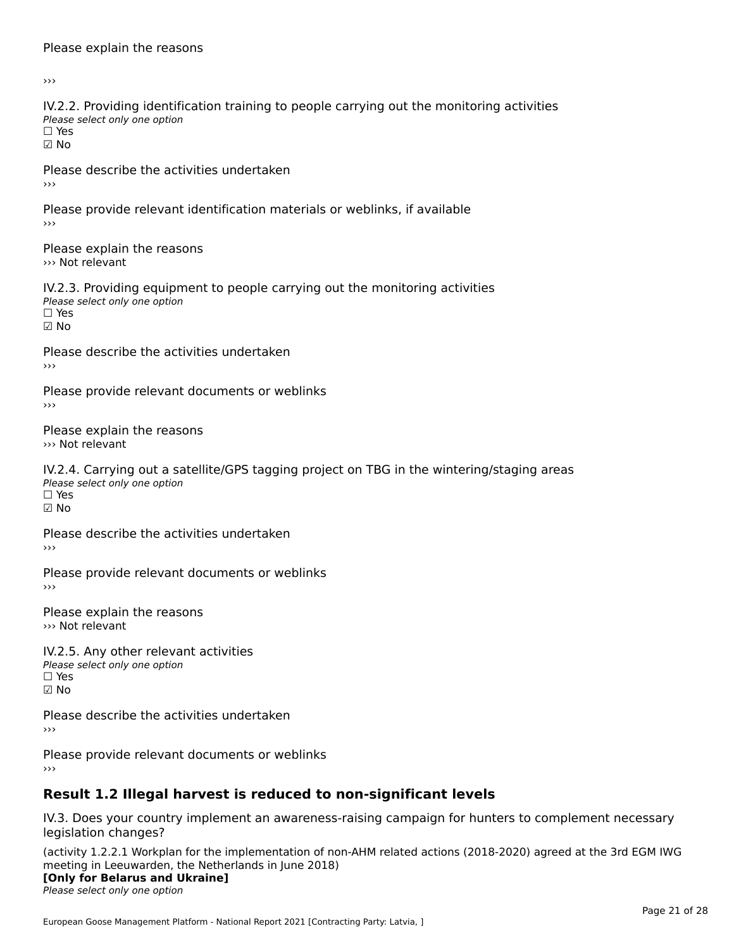#### Please explain the reasons

›››

IV.2.2. Providing identification training to people carrying out the monitoring activities TWETE: THOMAING REFILITION<br>Please select only one option ☑ No

Please describe the activities undertaken ›››

Please provide relevant identification materials or weblinks, if available ›››

Please explain the reasons ››› Not relevant

IV.2.3. Providing equipment to people carrying out the monitoring activities Please select only one option ☐ Yes☑ No

Please describe the activities undertaken

Please provide relevant documents or weblinks

Please explain the reasons››› Not relevant

IV.2.4. Carrying out a satellite/GPS tagging project on TBG in the wintering/staging areas rv.2.4. Carrying out a sc<br>Please select only one option ☐ Yes☑ No

Please describe the activities undertaken ›››

Please provide relevant documents or weblinks

Please explain the reasons ››› Not relevant

IV.2.5. Any other relevant activities Please select only one option ☐ Yes□ Yes<br>☑ No

Please describe the activities undertaken ›››

Please provide relevant documents or weblinks

# **Result 1.2 Illegal harvest is reduced to non-significant levels**

IV.3. Does your country implement an awareness-raising campaign for hunters to complement necessary legislation changes?

(activity 1.2.2.1 Workplan for the implementation of non-AHM related actions (2018-2020) agreed at the 3rd EGM IWG meeting in Leeuwarden, the Netherlands in June 2018)

### **[Only for Belarus and Ukraine]**

Please select only one option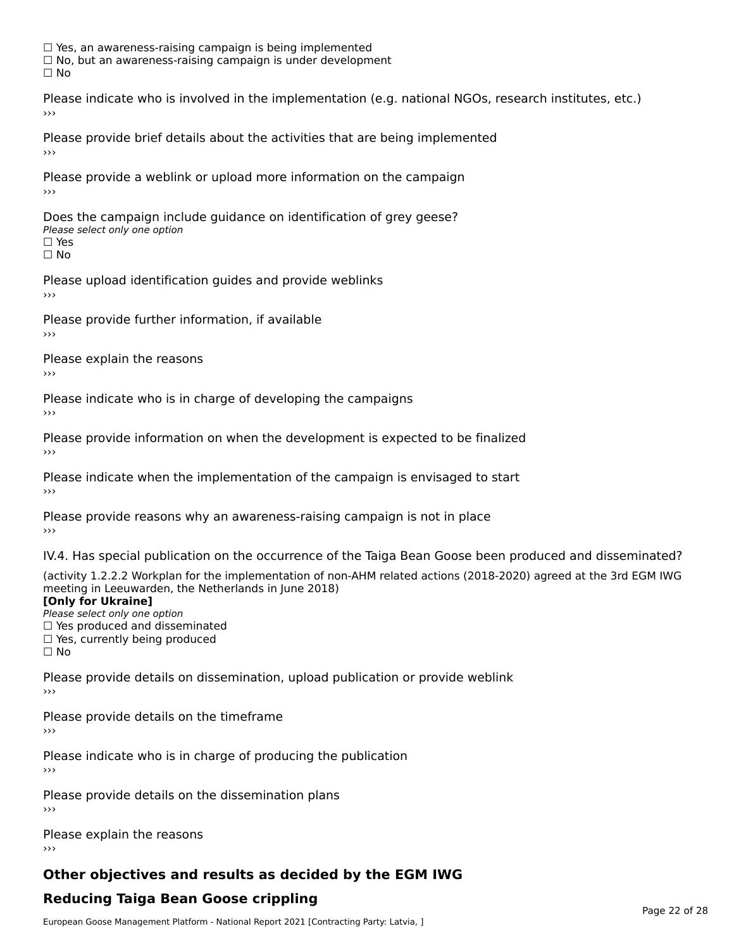☐ Yes, an awareness-raising campaign is being implemented □ Tes, an awareness-raising campaign is being implemented<br>□ No, but an awareness-raising campaign is under development

Please indicate who is involved in the implementation (e.g. national NGOs, research institutes, etc.)

Please provide brief details about the activities that are being implemented

Please provide a weblink or upload more information on the campaign

Does the campaign include guidance on identification of grey geese? **DOCS THE CAMPATSH THE**<br>Please select only one option □ Yes<br>□ No

Please upload identification guides and provide weblinks

Please provide further information, if available

Please explain the reasons

Please indicate who is in charge of developing the campaigns

Please provide information on when the development is expected to be finalized

Please indicate when the implementation of the campaign is envisaged to start

Please provide reasons why an awareness-raising campaign is not in place

IV.4. Has special publication on the occurrence of the Taiga Bean Goose been produced and disseminated?

(activity 1.2.2.2 Workplan for the implementation of non-AHM related actions (2018-2020) agreed at the 3rd EGM IWG meeting in Leeuwarden, the Netherlands in June 2018) **[Only for Ukraine]**

#### [Only for Ukraine]

**LOTTLY TOT ONTAILLET**<br>Please select only one option *Please select only one option*<br>□ Yes produced and disseminated □ Tes produced and dissemmate<br>□ Yes, currently being produced

Please provide details on dissemination, upload publication or provide weblink

Please provide details on the timeframe

Please indicate who is in charge of producing the publication

Please provide details on the dissemination plans

Please explain the reasons

# **Other objectives and results as decided by the EGM IWG**

# **Reducing Taiga Bean Goose crippling**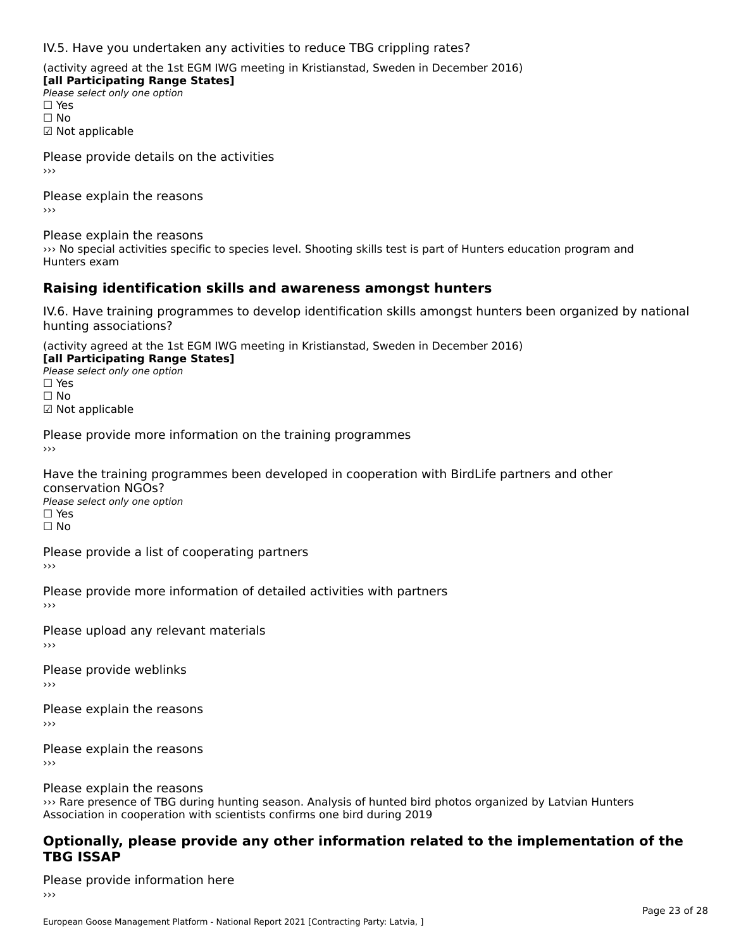IV.5. Have you undertaken any activities to reduce TBG crippling rates?

(activity agreed at the 1st EGM IWG meeting in Kristianstad, Sweden in December 2016)

**[all Participating Range States] Please select only one option** □ Yes<br>□ No ☑ Not applicable

Please provide details on the activities

Please explain the reasons›››

Please explain the reasons

››› No special activities specific to species level. Shooting skills test is part of Hunters education program and Hunters exam

### **Raising identification skills and awareness amongst hunters**

IV.6. Have training programmes to develop identification skills amongst hunters been organized by national hunting associations?

(activity agreed at the 1st EGM IWG meeting in Kristianstad, Sweden in December 2016)

**[all Participating Range States] Law Tarticipating Range**<br>Please select only one option

□ Yes<br>□ No

☑ Not applicable

Please provide more information on the training programmes

Have the training programmes been developed in cooperation with BirdLife partners and other

Please select only one option ☐ Yes☐ No

Please provide a list of cooperating partners

Please provide more information of detailed activities with partners

Please upload any relevant materials

Please provide weblinks

Please explain the reasons

Please explain the reasons

Please explain the reasons

››› Rare presence of TBG during hunting season. Analysis of hunted bird photos organized by Latvian Hunters where presence or rud during nunting season. Analysis or nunted bird<br>Association in cooperation with scientists confirms one bird during 2019

#### **Optionally, please provide any other information related to the implementation of the TBG ISSAP**

Please provide information here›››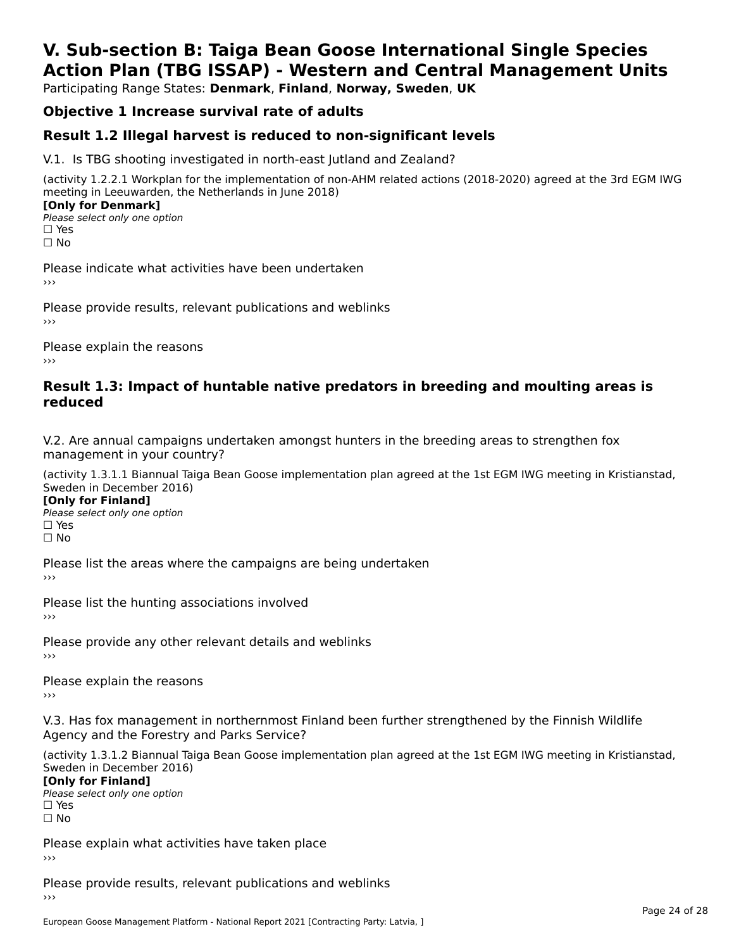# **V. Sub-section B: Taiga Bean Goose International Single SpeciesAction Plan (TBG ISSAP) - Western and Central Management Units**

Participating Range States: **Denmark**, **Finland**, **Norway, Sweden**, **UK**

# **Objective 1 Increase survival rate of adults**

### **Result 1.2 Illegal harvest is reduced to non-significant levels**

V.1. Is TBG shooting investigated in north-east Jutland and Zealand?

(activity 1.2.2.1 Workplan for the implementation of non-AHM related actions (2018-2020) agreed at the 3rd EGM IWG meeting in Leeuwarden, the Netherlands in June 2018) **[Only for Denmark]** 

**□ Please select only one option** □ Yes<br>□ No

Please indicate what activities have been undertaken›››

Please provide results, relevant publications and weblinks ›››

Please explain the reasons›››

#### **Result 1.3: Impact of huntable native predators in breeding and moulting areas is reduced**

V.2. Are annual campaigns undertaken amongst hunters in the breeding areas to strengthen fox v.z. Are annual campaigns und<br>management in your country?

(activity 1.3.1.1 Biannual Taiga Bean Goose implementation plan agreed at the 1st EGM IWG meeting in Kristianstad, Sweden in December 2016)

**[Only for Finland]** Please select only one optionriease<br>□ Yes □ Yes<br>□ No

Please list the areas where the campaigns are being undertaken

Please list the hunting associations involved

Please provide any other relevant details and weblinks ›››

Please explain the reasons

V.3. Has fox management in northernmost Finland been further strengthened by the Finnish Wildlife v.5. Has fox management in northernmost F<br>Agency and the Forestry and Parks Service?

(activity 1.3.1.2 Biannual Taiga Bean Goose implementation plan agreed at the 1st EGM IWG meeting in Kristianstad, Sweden in December 2016) Sweden in December 2016)

[Only for Finland]

**Please select only one option** □ Yes<br>□ No

Please explain what activities have taken place

Please provide results, relevant publications and weblinks ›››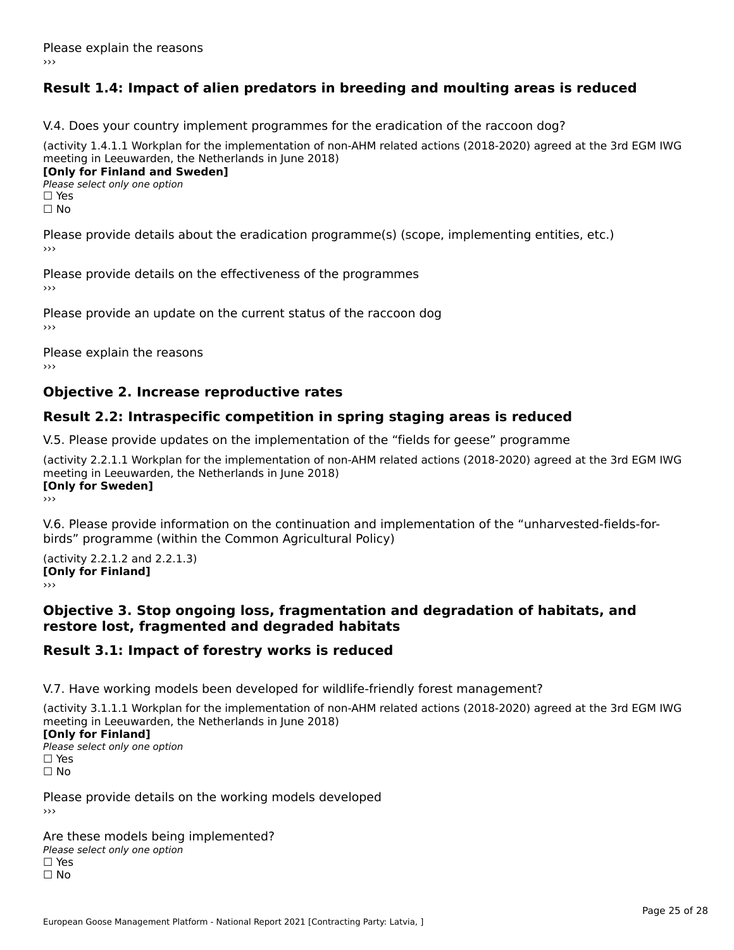# **Result 1.4: Impact of alien predators in breeding and moulting areas is reduced**

V.4. Does your country implement programmes for the eradication of the raccoon dog?

(activity 1.4.1.1 Workplan for the implementation of non-AHM related actions (2018-2020) agreed at the 3rd EGM IWG meeting in Leeuwarden, the Netherlands in June 2018) **[Only for Finland and Sweden]**

**Please select only one option** 

□ Yes<br>□ No

Please provide details about the eradication programme(s) (scope, implementing entities, etc.)

Please provide details on the effectiveness of the programmes

Please provide an update on the current status of the raccoon dog

Please explain the reasons

### **Objective 2. Increase reproductive rates**

### **Result 2.2: Intraspecific competition in spring staging areas is reduced**

V.5. Please provide updates on the implementation of the "fields for geese" programme

(activity 2.2.1.1 Workplan for the implementation of non-AHM related actions (2018-2020) agreed at the 3rd EGM IWG meeting in Leeuwarden, the Netherlands in June 2018) <u>Iony</u> ioi swedenj

V.6. Please provide information on the continuation and implementation of the "unharvested-fields-forbirds" programme (within the Common Agricultural Policy)birds" programme (within the Common Agricultural Policy)

(activity 2.2.1.2 and 2.2.1.3) **CONDUCTS**<br> **[Only for Finland]** 

#### **Objective 3. Stop ongoing loss, fragmentation and degradation of habitats, and restore lost, fragmented and degraded habitats**

### **Result 3.1: Impact of forestry works is reduced**

V.7. Have working models been developed for wildlife-friendly forest management?

(activity 3.1.1.1 Workplan for the implementation of non-AHM related actions (2018-2020) agreed at the 3rd EGM IWG

#### **[Only for Finland]**

**Please select only one option** □ Yes<br>□ No

Please provide details on the working models developed›››

Are these models being implemented? ∩ne enese moders being<br>Please select only one option □ Yes<br>□ No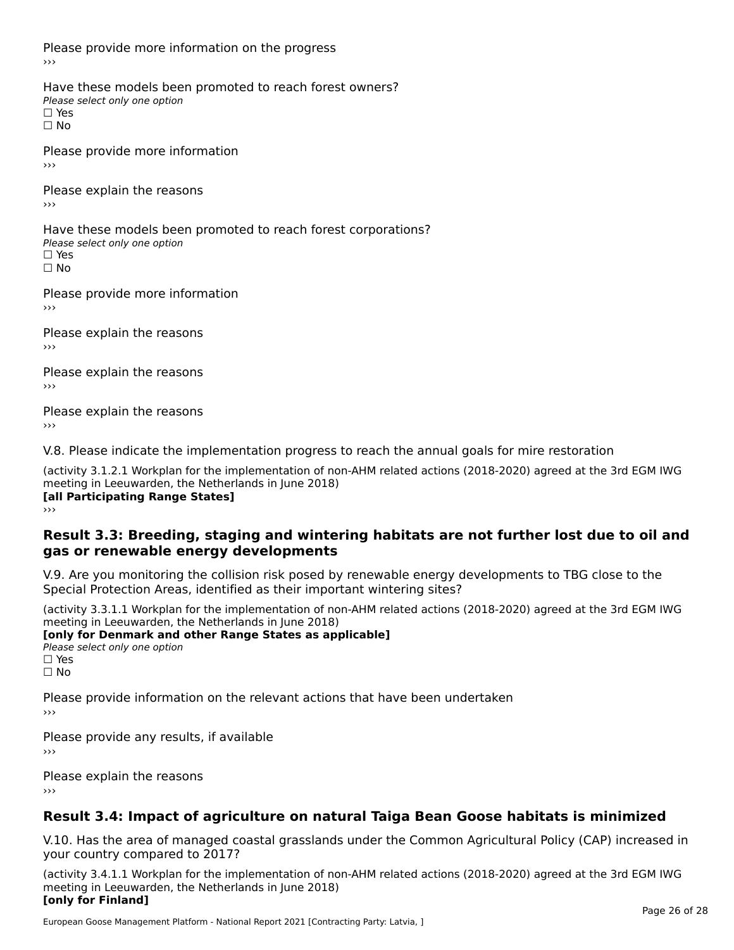Please provide more information on the progress

Have these models been promoted to reach forest owners? ∩ave these models bee<br>Please select only one option □ Yes<br>□ No

Please provide more information›››

Please explain the reasons ›››

Have these models been promoted to reach forest corporations? ∩ave these models bee<br>Please select only one option □ Yes<br>□ No

Please provide more information›››

Please explain the reasons ›››

Please explain the reasons›››

Please explain the reasons›››

V.8. Please indicate the implementation progress to reach the annual goals for mire restoration

(activity 3.1.2.1 Workplan for the implementation of non-AHM related actions (2018-2020) agreed at the 3rd EGM IWG meeting in Leeuwarden, the Netherlands in June 2018) **[all Participating Range States]** ›››

**Result 3.3: Breeding, staging and wintering habitats are not further lost due to oil andgas or renewable energy developments**

#### gas or renewable energy developments

V.9. Are you monitoring the collision risk posed by renewable energy developments to TBG close to the Special Protection Areas, identified as their important wintering sites?

(activity 3.3.1.1 Workplan for the implementation of non-AHM related actions (2018-2020) agreed at the 3rd EGM IWG **[only for Denmark and other Range States as applicable]**

**Please select only one option** □ Yes<br>□ No

Please provide information on the relevant actions that have been undertaken ›››

Please provide any results, if available

Please explain the reasons

# **Result 3.4: Impact of agriculture on natural Taiga Bean Goose habitats is minimized**

V.10. Has the area of managed coastal grasslands under the Common Agricultural Policy (CAP) increased in

(activity 3.4.1.1 Workplan for the implementation of non-AHM related actions (2018-2020) agreed at the 3rd EGM IWG meeting in Leeuwarden, the Netherlands in June 2018) **[only for Finland]**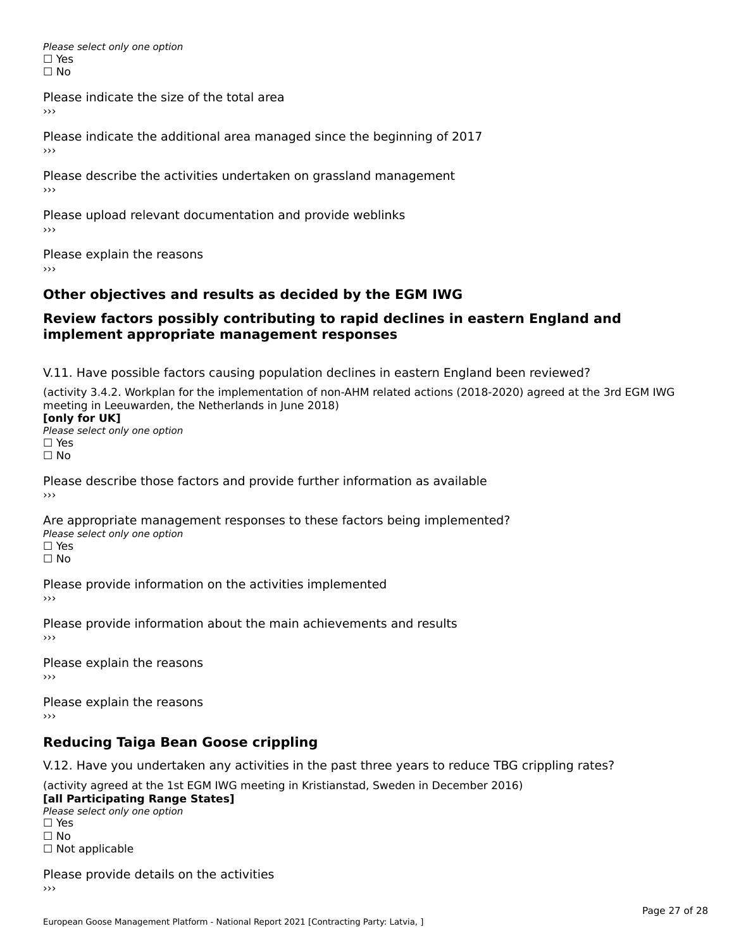Please select only one option □ Yes<br>□ No

Please indicate the size of the total area

›››

Please indicate the additional area managed since the beginning of 2017

Please describe the activities undertaken on grassland management ›››

Please upload relevant documentation and provide weblinks

Please explain the reasons

# **Other objectives and results as decided by the EGM IWG**

#### **Review factors possibly contributing to rapid declines in eastern England andimplement appropriate management responses**implement appropriate management responses

V.11. Have possible factors causing population declines in eastern England been reviewed?

(activity 3.4.2. Workplan for the implementation of non-AHM related actions (2018-2020) agreed at the 3rd EGM IWGmeeting in Leeuwarden, the Netherlands in June 2018) meeting in Leeuwarden, the Netherlands in June 2018)<br>**[only for UK]** 

**∐omy for OR**<br>Please select only one option □ Yes<br>□ No

Please describe those factors and provide further information as available

Are appropriate management responses to these factors being implemented? ric appropriace manage<br>Please select only one option ☐ Yesים<br>⊡ No

Please provide information on the activities implemented ›››

Please provide information about the main achievements and results›››

Please explain the reasons›››

Please explain the reasons ›››

# **Reducing Taiga Bean Goose crippling**

V.12. Have you undertaken any activities in the past three years to reduce TBG crippling rates?

(activity agreed at the 1st EGM IWG meeting in Kristianstad, Sweden in December 2016) **[all Participating Range States]**

[all Participating Range States] Please select only one option☐ Yesים<br>⊡ No □ Not applicable

Please provide details on the activities  $\rightarrow$   $>$